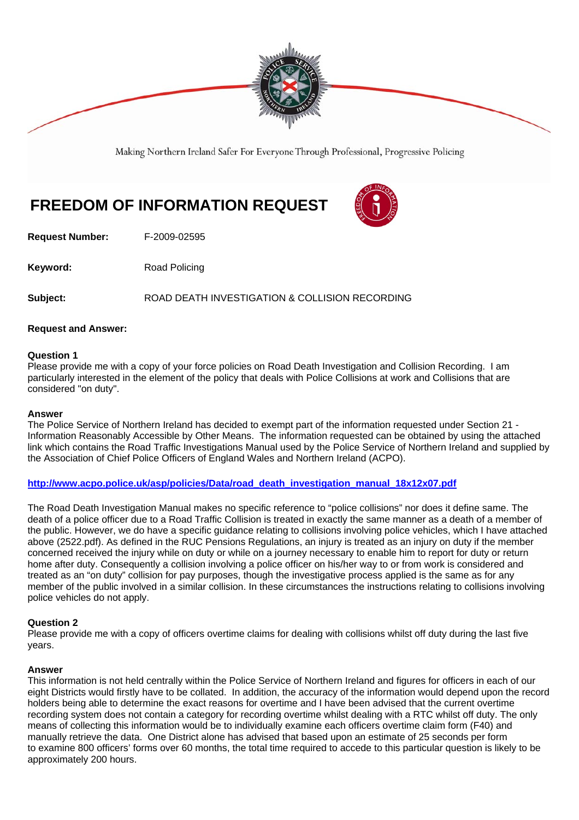

Making Northern Ireland Safer For Everyone Through Professional, Progressive Policing

# **FREEDOM OF INFORMATION REQUEST**

**Request Number:** F-2009-02595

**Keyword:** Road Policing

**Subject:** ROAD DEATH INVESTIGATION & COLLISION RECORDING

# **Request and Answer:**

# **Question 1**

Please provide me with a copy of your force policies on Road Death Investigation and Collision Recording. I am particularly interested in the element of the policy that deals with Police Collisions at work and Collisions that are considered "on duty".

#### **Answer**

The Police Service of Northern Ireland has decided to exempt part of the information requested under Section 21 - Information Reasonably Accessible by Other Means. The information requested can be obtained by using the attached link which contains the Road Traffic Investigations Manual used by the Police Service of Northern Ireland and supplied by the Association of Chief Police Officers of England Wales and Northern Ireland (ACPO).

# **http://www.acpo.police.uk/asp/policies/Data/road\_death\_investigation\_manual\_18x12x07.pdf**

The Road Death Investigation Manual makes no specific reference to "police collisions" nor does it define same. The death of a police officer due to a Road Traffic Collision is treated in exactly the same manner as a death of a member of the public. However, we do have a specific guidance relating to collisions involving police vehicles, which I have attached above (2522.pdf). As defined in the RUC Pensions Regulations, an injury is treated as an injury on duty if the member concerned received the injury while on duty or while on a journey necessary to enable him to report for duty or return home after duty. Consequently a collision involving a police officer on his/her way to or from work is considered and treated as an "on duty" collision for pay purposes, though the investigative process applied is the same as for any member of the public involved in a similar collision. In these circumstances the instructions relating to collisions involving police vehicles do not apply.

# **Question 2**

Please provide me with a copy of officers overtime claims for dealing with collisions whilst off duty during the last five years.

# **Answer**

This information is not held centrally within the Police Service of Northern Ireland and figures for officers in each of our eight Districts would firstly have to be collated. In addition, the accuracy of the information would depend upon the record holders being able to determine the exact reasons for overtime and I have been advised that the current overtime recording system does not contain a category for recording overtime whilst dealing with a RTC whilst off duty. The only means of collecting this information would be to individually examine each officers overtime claim form (F40) and manually retrieve the data. One District alone has advised that based upon an estimate of 25 seconds per form to examine 800 officers' forms over 60 months, the total time required to accede to this particular question is likely to be approximately 200 hours.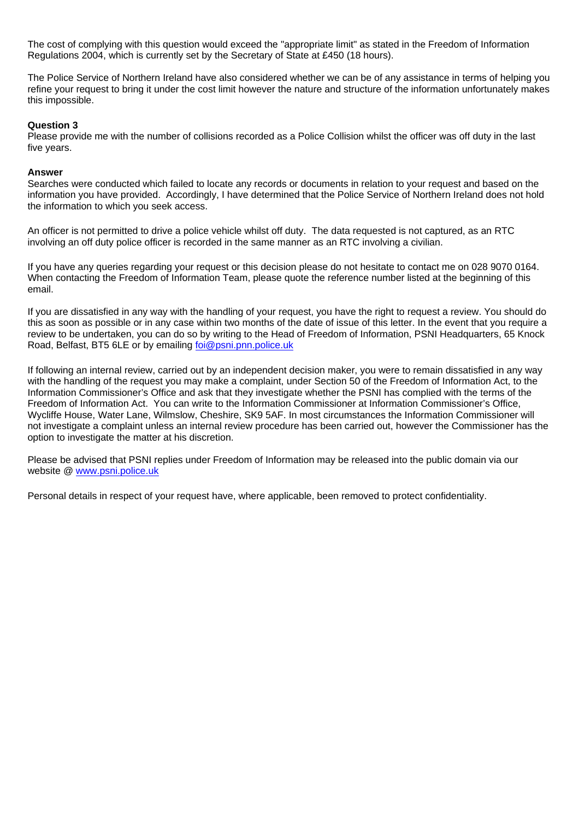The cost of complying with this question would exceed the "appropriate limit" as stated in the Freedom of Information Regulations 2004, which is currently set by the Secretary of State at £450 (18 hours).

The Police Service of Northern Ireland have also considered whether we can be of any assistance in terms of helping you refine your request to bring it under the cost limit however the nature and structure of the information unfortunately makes this impossible.

#### **Question 3**

Please provide me with the number of collisions recorded as a Police Collision whilst the officer was off duty in the last five years.

#### **Answer**

Searches were conducted which failed to locate any records or documents in relation to your request and based on the information you have provided. Accordingly, I have determined that the Police Service of Northern Ireland does not hold the information to which you seek access.

An officer is not permitted to drive a police vehicle whilst off duty. The data requested is not captured, as an RTC involving an off duty police officer is recorded in the same manner as an RTC involving a civilian.

If you have any queries regarding your request or this decision please do not hesitate to contact me on 028 9070 0164. When contacting the Freedom of Information Team, please quote the reference number listed at the beginning of this email.

If you are dissatisfied in any way with the handling of your request, you have the right to request a review. You should do this as soon as possible or in any case within two months of the date of issue of this letter. In the event that you require a review to be undertaken, you can do so by writing to the Head of Freedom of Information, PSNI Headquarters, 65 Knock Road, Belfast, BT5 6LE or by emailing foi@psni.pnn.police.uk

If following an internal review, carried out by an independent decision maker, you were to remain dissatisfied in any way with the handling of the request you may make a complaint, under Section 50 of the Freedom of Information Act, to the Information Commissioner's Office and ask that they investigate whether the PSNI has complied with the terms of the Freedom of Information Act. You can write to the Information Commissioner at Information Commissioner's Office, Wycliffe House, Water Lane, Wilmslow, Cheshire, SK9 5AF. In most circumstances the Information Commissioner will not investigate a complaint unless an internal review procedure has been carried out, however the Commissioner has the option to investigate the matter at his discretion.

Please be advised that PSNI replies under Freedom of Information may be released into the public domain via our website @ www.psni.police.uk

Personal details in respect of your request have, where applicable, been removed to protect confidentiality.